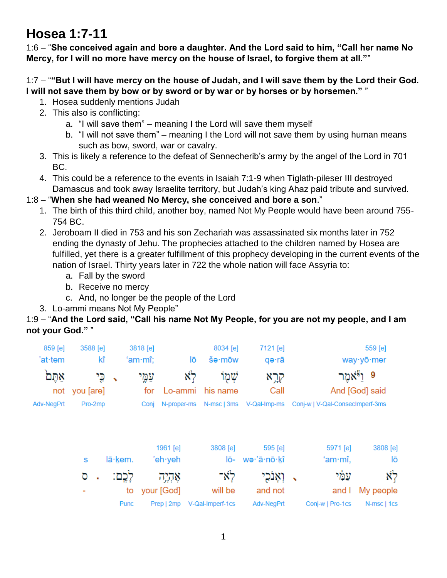# **Hosea 1:7-11**

1:6 – "**She conceived again and bore a daughter. And the Lord said to him, "Call her name No Mercy, for I will no more have mercy on the house of Israel, to forgive them at all."**"

1:7 – "**"But I will have mercy on the house of Judah, and I will save them by the Lord their God. I will not save them by bow or by sword or by war or by horses or by horsemen."** "

- 1. Hosea suddenly mentions Judah
- 2. This also is conflicting:
	- a. "I will save them" meaning I the Lord will save them myself
	- b. "I will not save them" meaning I the Lord will not save them by using human means such as bow, sword, war or cavalry.
- 3. This is likely a reference to the defeat of Sennecherib's army by the angel of the Lord in 701 BC.
- 4. This could be a reference to the events in Isaiah 7:1-9 when Tiglath-pileser III destroyed Damascus and took away Israelite territory, but Judah's king Ahaz paid tribute and survived.

## 1:8 – "**When she had weaned No Mercy, she conceived and bore a son**."

- 1. The birth of this third child, another boy, named Not My People would have been around 755- 754 BC.
- 2. Jeroboam II died in 753 and his son Zechariah was assassinated six months later in 752 ending the dynasty of Jehu. The prophecies attached to the children named by Hosea are fulfilled, yet there is a greater fulfillment of this prophecy developing in the current events of the nation of Israel. Thirty years later in 722 the whole nation will face Assyria to:
	- a. Fall by the sword
	- b. Receive no mercy
	- c. And, no longer be the people of the Lord
- 3. Lo-ammi means Not My People"

#### 1:9 – "**And the Lord said, "Call his name Not My People, for you are not my people, and I am not your God."** "

|        |         |                                               |                     | 8034 [e]                                                                             | 7121 [e]         |                                         |                             | 559 [e]                                                      |
|--------|---------|-----------------------------------------------|---------------------|--------------------------------------------------------------------------------------|------------------|-----------------------------------------|-----------------------------|--------------------------------------------------------------|
|        |         |                                               | lō                  | $\sin \theta$                                                                        | qə∙rā            |                                         |                             | way · yō · mer                                               |
|        | ↖       | עמֱי                                          | Ń٦                  | שמו                                                                                  | קרָא             |                                         |                             | 9                                                            |
|        |         | for                                           |                     | his name                                                                             | Call             |                                         |                             | And [God] said                                               |
|        |         | Conj                                          |                     |                                                                                      |                  |                                         |                             |                                                              |
| S      | lā·kem. |                                               |                     | 3808 [e]<br>lō-                                                                      | 595 [e]          |                                         | 5971 [e]<br>'am $\cdot$ mî, | 3808 [e]<br>lō                                               |
| σ<br>٠ |         |                                               |                     | לא־                                                                                  | וְאָנְכָי        | $\checkmark$                            | עמַי                        | לא                                                           |
|        | to      |                                               |                     | will be                                                                              | and not          |                                         | and I                       | My people                                                    |
|        | Punc    |                                               |                     |                                                                                      | Adv-NegPrt       |                                         |                             | N-msc   1cs                                                  |
|        | not     | 3588 [e]<br>kî<br>כֵי<br>you [are]<br>Pro-2mp | 3818 [e]<br>'am·mî; | Lo-ammi<br>N-proper-ms<br>1961 [e]<br>'eh∙yeh<br>אָהְיֶה<br>your [God]<br>Prep   2mp | V-Qal-Imperf-1cs | N-msc   3ms V-Qal-Imp-ms<br>wə·'ā·nō·kî |                             | ויאמר<br>Conj-w   V-Qal-ConsecImperf-3ms<br>Conj-w   Pro-1cs |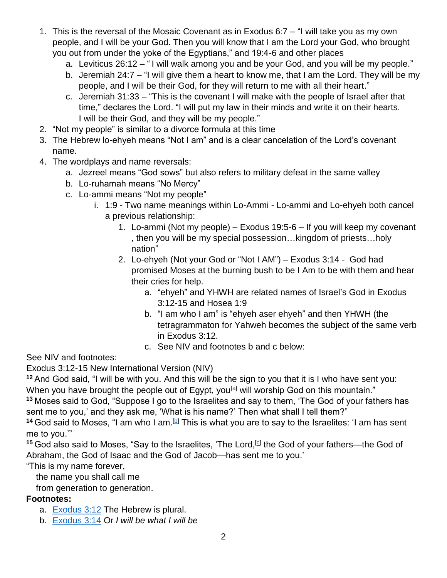- 1. This is the reversal of the Mosaic Covenant as in Exodus 6:7 "I will take you as my own people, and I will be your God. Then you will know that I am the Lord your God, who brought you out from under the yoke of the Egyptians," and 19:4-6 and other places
	- a. Leviticus 26:12 " I will walk among you and be your God, and you will be my people."
	- b. Jeremiah 24:7 "I will give them a heart to know me, that I am the Lord. They will be my people, and I will be their God, for they will return to me with all their heart."
	- c. Jeremiah 31:33 "This is the covenant I will make with the people of Israel after that time," declares the Lord. "I will put my law in their minds and write it on their hearts. I will be their God, and they will be my people."
- 2. "Not my people" is similar to a divorce formula at this time
- 3. The Hebrew lo-ehyeh means "Not I am" and is a clear cancelation of the Lord's covenant name.
- 4. The wordplays and name reversals:
	- a. Jezreel means "God sows" but also refers to military defeat in the same valley
	- b. Lo-ruhamah means "No Mercy"
	- c. Lo-ammi means "Not my people"
		- i. 1:9 Two name meanings within Lo-Ammi Lo-ammi and Lo-ehyeh both cancel a previous relationship:
			- 1. Lo-ammi (Not my people) Exodus 19:5-6 If you will keep my covenant , then you will be my special possession…kingdom of priests…holy nation"
			- 2. Lo-ehyeh (Not your God or "Not I AM") Exodus 3:14 God had promised Moses at the burning bush to be I Am to be with them and hear their cries for help.
				- a. "ehyeh" and YHWH are related names of Israel's God in Exodus 3:12-15 and Hosea 1:9
				- b. "I am who I am" is "ehyeh aser ehyeh" and then YHWH (the tetragrammaton for Yahweh becomes the subject of the same verb in Exodus 3:12.
				- c. See NIV and footnotes b and c below:

See NIV and footnotes:

Exodus 3:12-15 New International Version (NIV)

**<sup>12</sup>** And God said, "I will be with you. And this will be the sign to you that it is I who have sent you:

When you have brought the people out of Egypt, you<sup>[\[a\]](https://www.biblegateway.com/passage/?search=Exodus+3%3A12-15&version=NIV#fen-NIV-1592a)</sup> will worship God on this mountain."

**<sup>13</sup>** Moses said to God, "Suppose I go to the Israelites and say to them, 'The God of your fathers has sent me to you,' and they ask me, 'What is his name?' Then what shall I tell them?"

14 God said to Moses, "I am who I am.<sup>[\[b\]](https://www.biblegateway.com/passage/?search=Exodus+3%3A12-15&version=NIV#fen-NIV-1594b)</sup> This is what you are to say to the Israelites: 'I am has sent me to you.'"

<sup>15</sup> God also said to Moses, "Say to the Israelites, 'The Lord,<sup>[\[c\]](https://www.biblegateway.com/passage/?search=Exodus+3%3A12-15&version=NIV#fen-NIV-1595c)</sup> the God of your fathers—the God of Abraham, the God of Isaac and the God of Jacob—has sent me to you.'

"This is my name forever,

the name you shall call me

from generation to generation.

## **Footnotes:**

- a. [Exodus 3:12](https://www.biblegateway.com/passage/?search=Exodus+3%3A12-15&version=NIV#en-NIV-1592) The Hebrew is plural.
- b. [Exodus 3:14](https://www.biblegateway.com/passage/?search=Exodus+3%3A12-15&version=NIV#en-NIV-1594) Or *I will be what I will be*